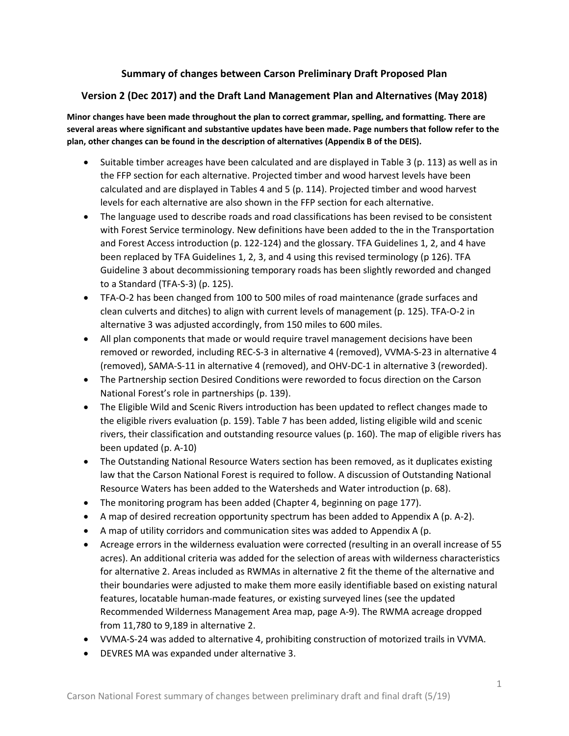# **Summary of changes between Carson Preliminary Draft Proposed Plan**

# **Version 2 (Dec 2017) and the Draft Land Management Plan and Alternatives (May 2018)**

**Minor changes have been made throughout the plan to correct grammar, spelling, and formatting. There are several areas where significant and substantive updates have been made. Page numbers that follow refer to the plan, other changes can be found in the description of alternatives (Appendix B of the DEIS).**

- Suitable timber acreages have been calculated and are displayed in Table 3 (p. 113) as well as in the FFP section for each alternative. Projected timber and wood harvest levels have been calculated and are displayed in Tables 4 and 5 (p. 114). Projected timber and wood harvest levels for each alternative are also shown in the FFP section for each alternative.
- The language used to describe roads and road classifications has been revised to be consistent with Forest Service terminology. New definitions have been added to the in the Transportation and Forest Access introduction (p. 122-124) and the glossary. TFA Guidelines 1, 2, and 4 have been replaced by TFA Guidelines 1, 2, 3, and 4 using this revised terminology (p 126). TFA Guideline 3 about decommissioning temporary roads has been slightly reworded and changed to a Standard (TFA-S-3) (p. 125).
- TFA-O-2 has been changed from 100 to 500 miles of road maintenance (grade surfaces and clean culverts and ditches) to align with current levels of management (p. 125). TFA-O-2 in alternative 3 was adjusted accordingly, from 150 miles to 600 miles.
- All plan components that made or would require travel management decisions have been removed or reworded, including REC-S-3 in alternative 4 (removed), VVMA-S-23 in alternative 4 (removed), SAMA-S-11 in alternative 4 (removed), and OHV-DC-1 in alternative 3 (reworded).
- The Partnership section Desired Conditions were reworded to focus direction on the Carson National Forest's role in partnerships (p. 139).
- The Eligible Wild and Scenic Rivers introduction has been updated to reflect changes made to the eligible rivers evaluation (p. 159). Table 7 has been added, listing eligible wild and scenic rivers, their classification and outstanding resource values (p. 160). The map of eligible rivers has been updated (p. A-10)
- The Outstanding National Resource Waters section has been removed, as it duplicates existing law that the Carson National Forest is required to follow. A discussion of Outstanding National Resource Waters has been added to the Watersheds and Water introduction (p. 68).
- The monitoring program has been added (Chapter 4, beginning on page 177).
- A map of desired recreation opportunity spectrum has been added to Appendix A (p. A-2).
- A map of utility corridors and communication sites was added to Appendix A (p.
- Acreage errors in the wilderness evaluation were corrected (resulting in an overall increase of 55 acres). An additional criteria was added for the selection of areas with wilderness characteristics for alternative 2. Areas included as RWMAs in alternative 2 fit the theme of the alternative and their boundaries were adjusted to make them more easily identifiable based on existing natural features, locatable human-made features, or existing surveyed lines (see the updated Recommended Wilderness Management Area map, page A-9). The RWMA acreage dropped from 11,780 to 9,189 in alternative 2.
- VVMA-S-24 was added to alternative 4, prohibiting construction of motorized trails in VVMA.
- DEVRES MA was expanded under alternative 3.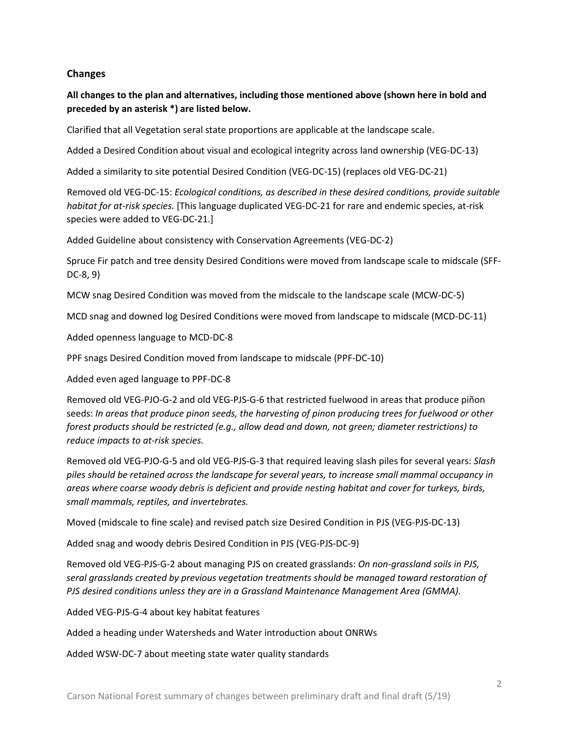## **Changes**

**All changes to the plan and alternatives, including those mentioned above (shown here in bold and preceded by an asterisk \*) are listed below.**

Clarified that all Vegetation seral state proportions are applicable at the landscape scale.

Added a Desired Condition about visual and ecological integrity across land ownership (VEG-DC-13)

Added a similarity to site potential Desired Condition (VEG-DC-15) (replaces old VEG-DC-21)

Removed old VEG-DC-15: *Ecological conditions, as described in these desired conditions, provide suitable habitat for at-risk species.* [This language duplicated VEG-DC-21 for rare and endemic species, at-risk species were added to VEG-DC-21.]

Added Guideline about consistency with Conservation Agreements (VEG-DC-2)

Spruce Fir patch and tree density Desired Conditions were moved from landscape scale to midscale (SFF-DC-8, 9)

MCW snag Desired Condition was moved from the midscale to the landscape scale (MCW-DC-5)

MCD snag and downed log Desired Conditions were moved from landscape to midscale (MCD-DC-11)

Added openness language to MCD-DC-8

PPF snags Desired Condition moved from landscape to midscale (PPF-DC-10)

Added even aged language to PPF-DC-8

Removed old VEG-PJO-G-2 and old VEG-PJS-G-6 that restricted fuelwood in areas that produce piñon seeds: *In areas that produce pinon seeds, the harvesting of pinon producing trees for fuelwood or other forest products should be restricted (e.g., allow dead and down, not green; diameter restrictions) to reduce impacts to at-risk species.*

Removed old VEG-PJO-G-5 and old VEG-PJS-G-3 that required leaving slash piles for several years: *Slash piles should be retained across the landscape for several years, to increase small mammal occupancy in areas where coarse woody debris is deficient and provide nesting habitat and cover for turkeys, birds, small mammals, reptiles, and invertebrates.*

Moved (midscale to fine scale) and revised patch size Desired Condition in PJS (VEG-PJS-DC-13)

Added snag and woody debris Desired Condition in PJS (VEG-PJS-DC-9)

Removed old VEG-PJS-G-2 about managing PJS on created grasslands: *On non-grassland soils in PJS, seral grasslands created by previous vegetation treatments should be managed toward restoration of PJS desired conditions unless they are in a Grassland Maintenance Management Area (GMMA).*

Added VEG-PJS-G-4 about key habitat features

Added a heading under Watersheds and Water introduction about ONRWs

Added WSW-DC-7 about meeting state water quality standards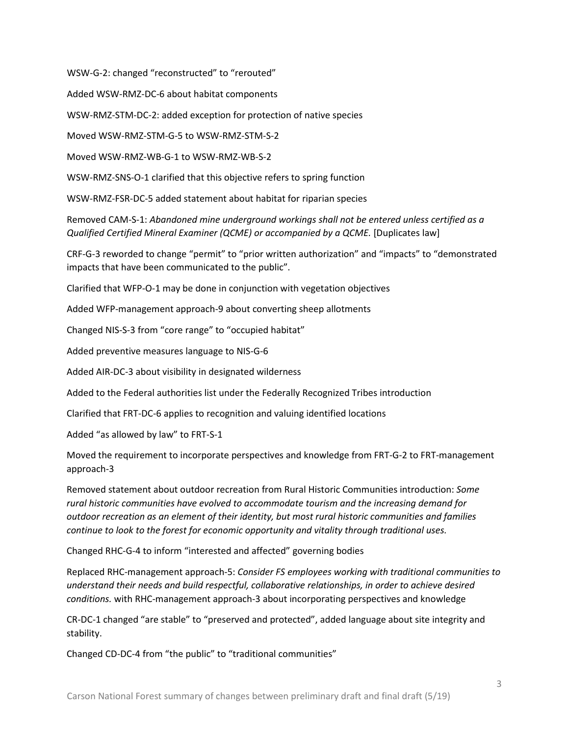WSW-G-2: changed "reconstructed" to "rerouted"

Added WSW-RMZ-DC-6 about habitat components

WSW-RMZ-STM-DC-2: added exception for protection of native species

Moved WSW-RMZ-STM-G-5 to WSW-RMZ-STM-S-2

Moved WSW-RMZ-WB-G-1 to WSW-RMZ-WB-S-2

WSW-RMZ-SNS-O-1 clarified that this objective refers to spring function

WSW-RMZ-FSR-DC-5 added statement about habitat for riparian species

Removed CAM-S-1: *Abandoned mine underground workings shall not be entered unless certified as a Qualified Certified Mineral Examiner (QCME) or accompanied by a QCME.* [Duplicates law]

CRF-G-3 reworded to change "permit" to "prior written authorization" and "impacts" to "demonstrated impacts that have been communicated to the public".

Clarified that WFP-O-1 may be done in conjunction with vegetation objectives

Added WFP-management approach-9 about converting sheep allotments

Changed NIS-S-3 from "core range" to "occupied habitat"

Added preventive measures language to NIS-G-6

Added AIR-DC-3 about visibility in designated wilderness

Added to the Federal authorities list under the Federally Recognized Tribes introduction

Clarified that FRT-DC-6 applies to recognition and valuing identified locations

Added "as allowed by law" to FRT-S-1

Moved the requirement to incorporate perspectives and knowledge from FRT-G-2 to FRT-management approach-3

Removed statement about outdoor recreation from Rural Historic Communities introduction: *Some rural historic communities have evolved to accommodate tourism and the increasing demand for outdoor recreation as an element of their identity, but most rural historic communities and families continue to look to the forest for economic opportunity and vitality through traditional uses.*

Changed RHC-G-4 to inform "interested and affected" governing bodies

Replaced RHC-management approach-5: *Consider FS employees working with traditional communities to understand their needs and build respectful, collaborative relationships, in order to achieve desired conditions.* with RHC-management approach-3 about incorporating perspectives and knowledge

CR-DC-1 changed "are stable" to "preserved and protected", added language about site integrity and stability.

Changed CD-DC-4 from "the public" to "traditional communities"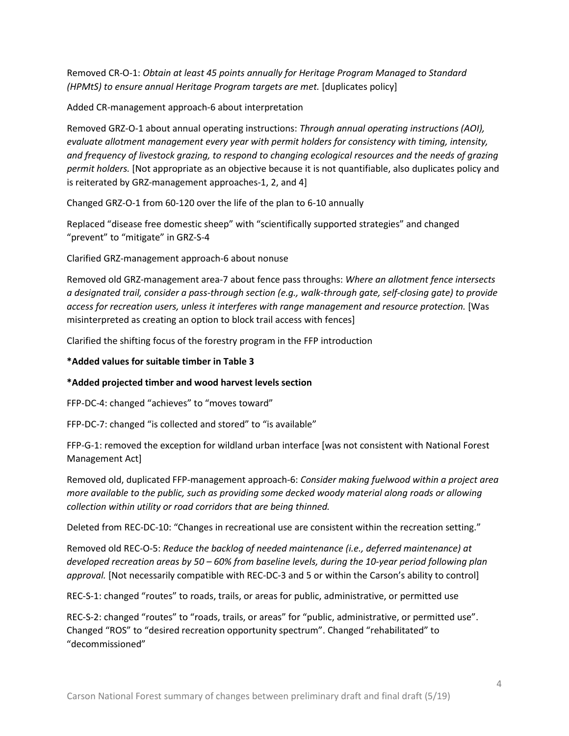Removed CR-O-1: *Obtain at least 45 points annually for Heritage Program Managed to Standard (HPMtS) to ensure annual Heritage Program targets are met.* [duplicates policy]

Added CR-management approach-6 about interpretation

Removed GRZ-O-1 about annual operating instructions: *Through annual operating instructions (AOI), evaluate allotment management every year with permit holders for consistency with timing, intensity, and frequency of livestock grazing, to respond to changing ecological resources and the needs of grazing permit holders.* [Not appropriate as an objective because it is not quantifiable, also duplicates policy and is reiterated by GRZ-management approaches-1, 2, and 4]

Changed GRZ-O-1 from 60-120 over the life of the plan to 6-10 annually

Replaced "disease free domestic sheep" with "scientifically supported strategies" and changed "prevent" to "mitigate" in GRZ-S-4

Clarified GRZ-management approach-6 about nonuse

Removed old GRZ-management area-7 about fence pass throughs: *Where an allotment fence intersects a designated trail, consider a pass-through section (e.g., walk-through gate, self-closing gate) to provide access for recreation users, unless it interferes with range management and resource protection.* [Was misinterpreted as creating an option to block trail access with fences]

Clarified the shifting focus of the forestry program in the FFP introduction

## **\*Added values for suitable timber in Table 3**

# **\*Added projected timber and wood harvest levels section**

FFP-DC-4: changed "achieves" to "moves toward"

FFP-DC-7: changed "is collected and stored" to "is available"

FFP-G-1: removed the exception for wildland urban interface [was not consistent with National Forest Management Act]

Removed old, duplicated FFP-management approach-6: *Consider making fuelwood within a project area more available to the public, such as providing some decked woody material along roads or allowing collection within utility or road corridors that are being thinned.*

Deleted from REC-DC-10: "Changes in recreational use are consistent within the recreation setting."

Removed old REC-O-5: *Reduce the backlog of needed maintenance (i.e., deferred maintenance) at developed recreation areas by 50 – 60% from baseline levels, during the 10-year period following plan approval.* [Not necessarily compatible with REC-DC-3 and 5 or within the Carson's ability to control]

REC-S-1: changed "routes" to roads, trails, or areas for public, administrative, or permitted use

REC-S-2: changed "routes" to "roads, trails, or areas" for "public, administrative, or permitted use". Changed "ROS" to "desired recreation opportunity spectrum". Changed "rehabilitated" to "decommissioned"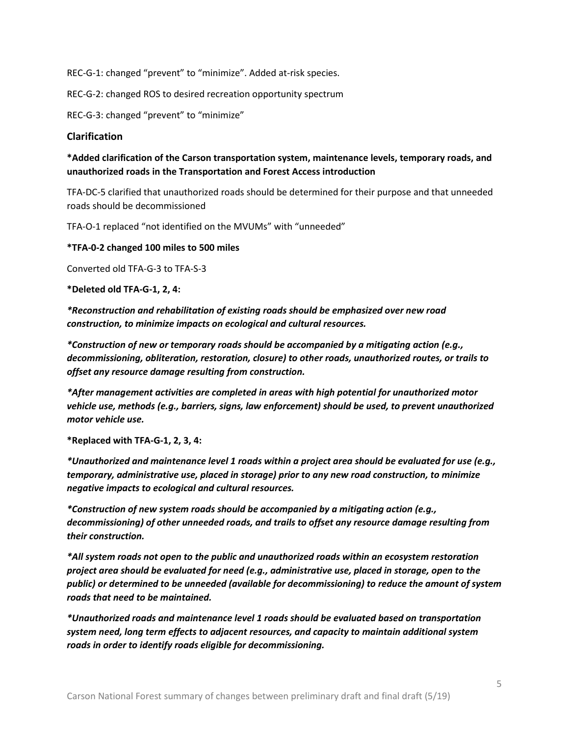REC-G-1: changed "prevent" to "minimize". Added at-risk species.

REC-G-2: changed ROS to desired recreation opportunity spectrum

REC-G-3: changed "prevent" to "minimize"

## **Clarification**

## **\*Added clarification of the Carson transportation system, maintenance levels, temporary roads, and unauthorized roads in the Transportation and Forest Access introduction**

TFA-DC-5 clarified that unauthorized roads should be determined for their purpose and that unneeded roads should be decommissioned

TFA-O-1 replaced "not identified on the MVUMs" with "unneeded"

**\*TFA-0-2 changed 100 miles to 500 miles**

Converted old TFA-G-3 to TFA-S-3

**\*Deleted old TFA-G-1, 2, 4:**

*\*Reconstruction and rehabilitation of existing roads should be emphasized over new road construction, to minimize impacts on ecological and cultural resources.*

*\*Construction of new or temporary roads should be accompanied by a mitigating action (e.g., decommissioning, obliteration, restoration, closure) to other roads, unauthorized routes, or trails to offset any resource damage resulting from construction.* 

*\*After management activities are completed in areas with high potential for unauthorized motor vehicle use, methods (e.g., barriers, signs, law enforcement) should be used, to prevent unauthorized motor vehicle use.*

**\*Replaced with TFA-G-1, 2, 3, 4:**

*\*Unauthorized and maintenance level 1 roads within a project area should be evaluated for use (e.g., temporary, administrative use, placed in storage) prior to any new road construction, to minimize negative impacts to ecological and cultural resources.*

*\*Construction of new system roads should be accompanied by a mitigating action (e.g., decommissioning) of other unneeded roads, and trails to offset any resource damage resulting from their construction.* 

*\*All system roads not open to the public and unauthorized roads within an ecosystem restoration project area should be evaluated for need (e.g., administrative use, placed in storage, open to the public) or determined to be unneeded (available for decommissioning) to reduce the amount of system roads that need to be maintained.*

*\*Unauthorized roads and maintenance level 1 roads should be evaluated based on transportation system need, long term effects to adjacent resources, and capacity to maintain additional system roads in order to identify roads eligible for decommissioning.*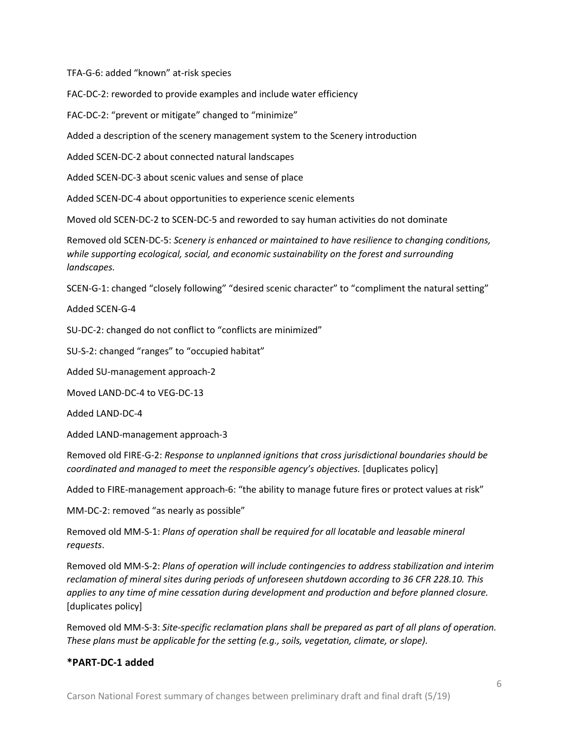TFA-G-6: added "known" at-risk species

FAC-DC-2: reworded to provide examples and include water efficiency

FAC-DC-2: "prevent or mitigate" changed to "minimize"

Added a description of the scenery management system to the Scenery introduction

Added SCEN-DC-2 about connected natural landscapes

Added SCEN-DC-3 about scenic values and sense of place

Added SCEN-DC-4 about opportunities to experience scenic elements

Moved old SCEN-DC-2 to SCEN-DC-5 and reworded to say human activities do not dominate

Removed old SCEN-DC-5: *Scenery is enhanced or maintained to have resilience to changing conditions, while supporting ecological, social, and economic sustainability on the forest and surrounding landscapes.*

SCEN-G-1: changed "closely following" "desired scenic character" to "compliment the natural setting"

Added SCEN-G-4

SU-DC-2: changed do not conflict to "conflicts are minimized"

SU-S-2: changed "ranges" to "occupied habitat"

Added SU-management approach-2

Moved LAND-DC-4 to VEG-DC-13

Added LAND-DC-4

Added LAND-management approach-3

Removed old FIRE-G-2: *Response to unplanned ignitions that cross jurisdictional boundaries should be coordinated and managed to meet the responsible agency's objectives.* [duplicates policy]

Added to FIRE-management approach-6: "the ability to manage future fires or protect values at risk"

MM-DC-2: removed "as nearly as possible"

Removed old MM-S-1: *Plans of operation shall be required for all locatable and leasable mineral requests*.

Removed old MM-S-2: *Plans of operation will include contingencies to address stabilization and interim reclamation of mineral sites during periods of unforeseen shutdown according to 36 CFR 228.10. This applies to any time of mine cessation during development and production and before planned closure.* [duplicates policy]

Removed old MM-S-3: *Site-specific reclamation plans shall be prepared as part of all plans of operation. These plans must be applicable for the setting (e.g., soils, vegetation, climate, or slope).*

## **\*PART-DC-1 added**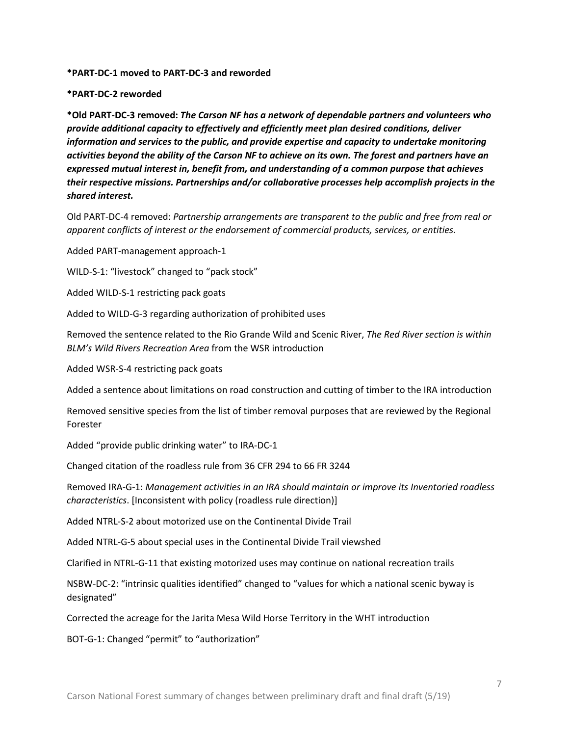#### **\*PART-DC-1 moved to PART-DC-3 and reworded**

#### **\*PART-DC-2 reworded**

**\*Old PART-DC-3 removed:** *The Carson NF has a network of dependable partners and volunteers who provide additional capacity to effectively and efficiently meet plan desired conditions, deliver information and services to the public, and provide expertise and capacity to undertake monitoring activities beyond the ability of the Carson NF to achieve on its own. The forest and partners have an expressed mutual interest in, benefit from, and understanding of a common purpose that achieves their respective missions. Partnerships and/or collaborative processes help accomplish projects in the shared interest.* 

Old PART-DC-4 removed: *Partnership arrangements are transparent to the public and free from real or apparent conflicts of interest or the endorsement of commercial products, services, or entities.*

Added PART-management approach-1

WILD-S-1: "livestock" changed to "pack stock"

Added WILD-S-1 restricting pack goats

Added to WILD-G-3 regarding authorization of prohibited uses

Removed the sentence related to the Rio Grande Wild and Scenic River, *The Red River section is within BLM's Wild Rivers Recreation Area* from the WSR introduction

Added WSR-S-4 restricting pack goats

Added a sentence about limitations on road construction and cutting of timber to the IRA introduction

Removed sensitive species from the list of timber removal purposes that are reviewed by the Regional Forester

Added "provide public drinking water" to IRA-DC-1

Changed citation of the roadless rule from 36 CFR 294 to 66 FR 3244

Removed IRA-G-1: *Management activities in an IRA should maintain or improve its Inventoried roadless characteristics*. [Inconsistent with policy (roadless rule direction)]

Added NTRL-S-2 about motorized use on the Continental Divide Trail

Added NTRL-G-5 about special uses in the Continental Divide Trail viewshed

Clarified in NTRL-G-11 that existing motorized uses may continue on national recreation trails

NSBW-DC-2: "intrinsic qualities identified" changed to "values for which a national scenic byway is designated"

Corrected the acreage for the Jarita Mesa Wild Horse Territory in the WHT introduction

BOT-G-1: Changed "permit" to "authorization"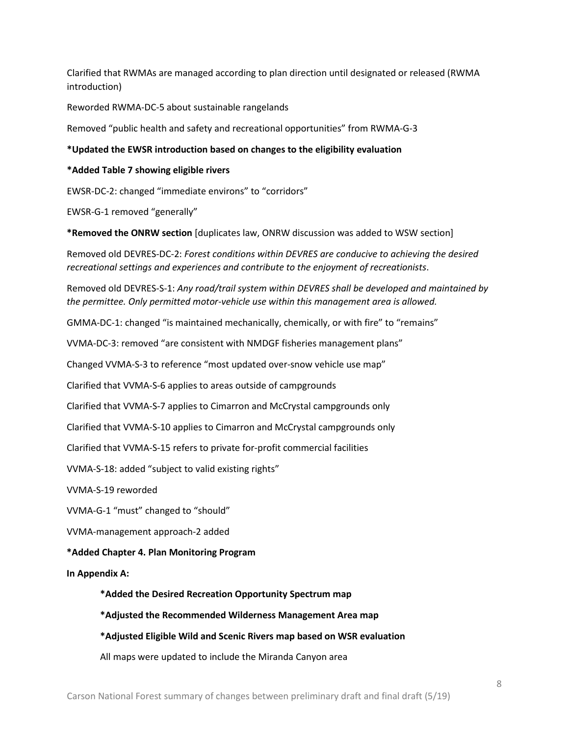Clarified that RWMAs are managed according to plan direction until designated or released (RWMA introduction)

Reworded RWMA-DC-5 about sustainable rangelands

Removed "public health and safety and recreational opportunities" from RWMA-G-3

### **\*Updated the EWSR introduction based on changes to the eligibility evaluation**

#### **\*Added Table 7 showing eligible rivers**

EWSR-DC-2: changed "immediate environs" to "corridors"

EWSR-G-1 removed "generally"

**\*Removed the ONRW section** [duplicates law, ONRW discussion was added to WSW section]

Removed old DEVRES-DC-2: *Forest conditions within DEVRES are conducive to achieving the desired recreational settings and experiences and contribute to the enjoyment of recreationists*.

Removed old DEVRES-S-1: *Any road/trail system within DEVRES shall be developed and maintained by the permittee. Only permitted motor-vehicle use within this management area is allowed.*

GMMA-DC-1: changed "is maintained mechanically, chemically, or with fire" to "remains"

VVMA-DC-3: removed "are consistent with NMDGF fisheries management plans"

Changed VVMA-S-3 to reference "most updated over-snow vehicle use map"

Clarified that VVMA-S-6 applies to areas outside of campgrounds

Clarified that VVMA-S-7 applies to Cimarron and McCrystal campgrounds only

Clarified that VVMA-S-10 applies to Cimarron and McCrystal campgrounds only

Clarified that VVMA-S-15 refers to private for-profit commercial facilities

VVMA-S-18: added "subject to valid existing rights"

VVMA-S-19 reworded

VVMA-G-1 "must" changed to "should"

VVMA-management approach-2 added

#### **\*Added Chapter 4. Plan Monitoring Program**

**In Appendix A:**

**\*Added the Desired Recreation Opportunity Spectrum map**

- **\*Adjusted the Recommended Wilderness Management Area map**
- **\*Adjusted Eligible Wild and Scenic Rivers map based on WSR evaluation**

All maps were updated to include the Miranda Canyon area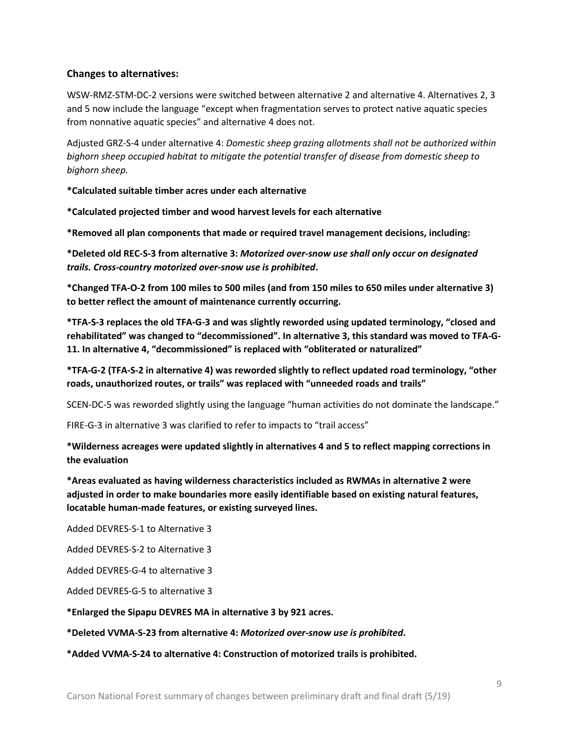# **Changes to alternatives:**

WSW-RMZ-STM-DC-2 versions were switched between alternative 2 and alternative 4. Alternatives 2, 3 and 5 now include the language "except when fragmentation serves to protect native aquatic species from nonnative aquatic species" and alternative 4 does not.

Adjusted GRZ-S-4 under alternative 4: *Domestic sheep grazing allotments shall not be authorized within bighorn sheep occupied habitat to mitigate the potential transfer of disease from domestic sheep to bighorn sheep.*

**\*Calculated suitable timber acres under each alternative**

**\*Calculated projected timber and wood harvest levels for each alternative**

**\*Removed all plan components that made or required travel management decisions, including:**

**\*Deleted old REC-S-3 from alternative 3:** *Motorized over-snow use shall only occur on designated trails. Cross-country motorized over-snow use is prohibited***.**

**\*Changed TFA-O-2 from 100 miles to 500 miles (and from 150 miles to 650 miles under alternative 3) to better reflect the amount of maintenance currently occurring.**

**\*TFA-S-3 replaces the old TFA-G-3 and was slightly reworded using updated terminology, "closed and rehabilitated" was changed to "decommissioned". In alternative 3, this standard was moved to TFA-G-11. In alternative 4, "decommissioned" is replaced with "obliterated or naturalized"**

# **\*TFA-G-2 (TFA-S-2 in alternative 4) was reworded slightly to reflect updated road terminology, "other roads, unauthorized routes, or trails" was replaced with "unneeded roads and trails"**

SCEN-DC-5 was reworded slightly using the language "human activities do not dominate the landscape."

FIRE-G-3 in alternative 3 was clarified to refer to impacts to "trail access"

# **\*Wilderness acreages were updated slightly in alternatives 4 and 5 to reflect mapping corrections in the evaluation**

**\*Areas evaluated as having wilderness characteristics included as RWMAs in alternative 2 were adjusted in order to make boundaries more easily identifiable based on existing natural features, locatable human-made features, or existing surveyed lines.**

Added DEVRES-S-1 to Alternative 3

Added DEVRES-S-2 to Alternative 3

Added DEVRES-G-4 to alternative 3

Added DEVRES-G-5 to alternative 3

**\*Enlarged the Sipapu DEVRES MA in alternative 3 by 921 acres.**

**\*Deleted VVMA-S-23 from alternative 4:** *Motorized over-snow use is prohibited***.**

**\*Added VVMA-S-24 to alternative 4: Construction of motorized trails is prohibited.**